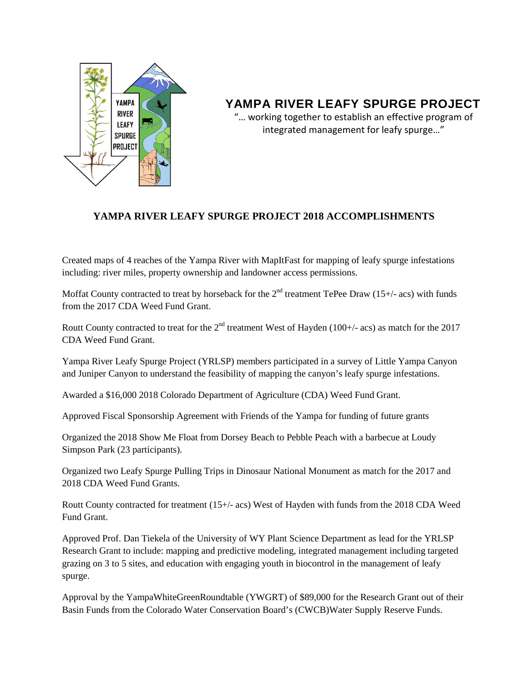

## **YAMPA RIVER LEAFY SPURGE PROJECT**

"… working together to establish an effective program of integrated management for leafy spurge…"

## **YAMPA RIVER LEAFY SPURGE PROJECT 2018 ACCOMPLISHMENTS**

Created maps of 4 reaches of the Yampa River with MapItFast for mapping of leafy spurge infestations including: river miles, property ownership and landowner access permissions.

Moffat County contracted to treat by horseback for the  $2<sup>nd</sup>$  treatment TePee Draw (15+/- acs) with funds from the 2017 CDA Weed Fund Grant.

Routt County contracted to treat for the  $2<sup>nd</sup>$  treatment West of Hayden (100+/- acs) as match for the 2017 CDA Weed Fund Grant.

Yampa River Leafy Spurge Project (YRLSP) members participated in a survey of Little Yampa Canyon and Juniper Canyon to understand the feasibility of mapping the canyon's leafy spurge infestations.

Awarded a \$16,000 2018 Colorado Department of Agriculture (CDA) Weed Fund Grant.

Approved Fiscal Sponsorship Agreement with Friends of the Yampa for funding of future grants

Organized the 2018 Show Me Float from Dorsey Beach to Pebble Peach with a barbecue at Loudy Simpson Park (23 participants).

Organized two Leafy Spurge Pulling Trips in Dinosaur National Monument as match for the 2017 and 2018 CDA Weed Fund Grants.

Routt County contracted for treatment (15+/- acs) West of Hayden with funds from the 2018 CDA Weed Fund Grant.

Approved Prof. Dan Tiekela of the University of WY Plant Science Department as lead for the YRLSP Research Grant to include: mapping and predictive modeling, integrated management including targeted grazing on 3 to 5 sites, and education with engaging youth in biocontrol in the management of leafy spurge.

Approval by the YampaWhiteGreenRoundtable (YWGRT) of \$89,000 for the Research Grant out of their Basin Funds from the Colorado Water Conservation Board's (CWCB)Water Supply Reserve Funds.